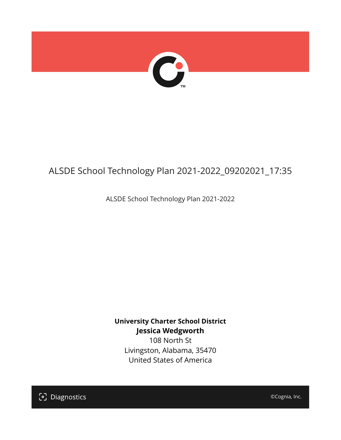

# ALSDE School Technology Plan 2021-2022\_09202021\_17:35

ALSDE School Technology Plan 2021-2022

**University Charter School District Jessica Wedgworth** 108 North St Livingston, Alabama, 35470 United States of America

[၁] Diagnostics

©Cognia, Inc.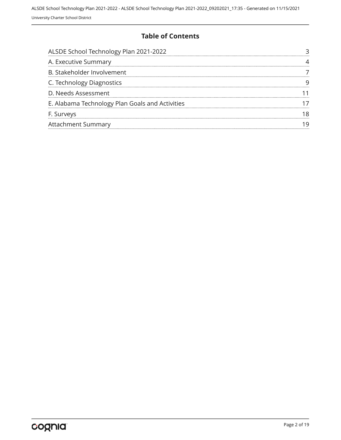### **Table of Contents**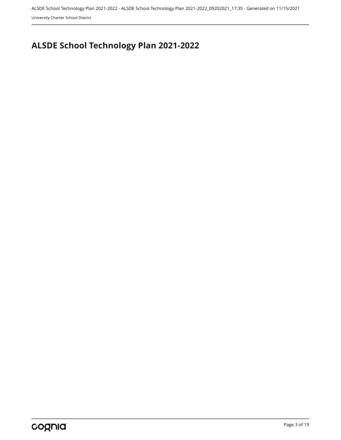University Charter School District

# <span id="page-2-0"></span>**ALSDE School Technology Plan 2021-2022**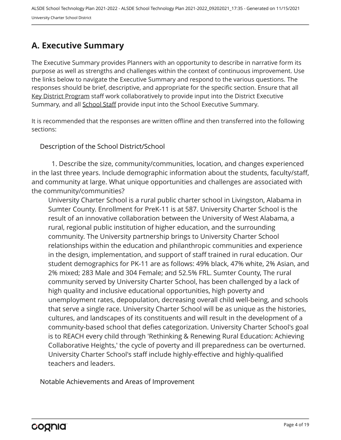## <span id="page-3-0"></span>**A. Executive Summary**

The Executive Summary provides Planners with an opportunity to describe in narrative form its purpose as well as strengths and challenges within the context of continuous improvement. Use the links below to navigate the Executive Summary and respond to the various questions. The responses should be brief, descriptive, and appropriate for the specific section. Ensure that all Key District Program staff work collaboratively to provide input into the District Executive Summary, and all School Staff provide input into the School Executive Summary.

It is recommended that the responses are written offline and then transferred into the following sections:

Description of the School District/School

1. Describe the size, community/communities, location, and changes experienced in the last three years. Include demographic information about the students, faculty/staff, and community at large. What unique opportunities and challenges are associated with the community/communities?

University Charter School is a rural public charter school in Livingston, Alabama in Sumter County. Enrollment for PreK-11 is at 587. University Charter School is the result of an innovative collaboration between the University of West Alabama, a rural, regional public institution of higher education, and the surrounding community. The University partnership brings to University Charter School relationships within the education and philanthropic communities and experience in the design, implementation, and support of staff trained in rural education. Our student demographics for PK-11 are as follows: 49% black, 47% white, 2% Asian, and 2% mixed; 283 Male and 304 Female; and 52.5% FRL. Sumter County, The rural community served by University Charter School, has been challenged by a lack of high quality and inclusive educational opportunities, high poverty and unemployment rates, depopulation, decreasing overall child well-being, and schools that serve a single race. University Charter School will be as unique as the histories, cultures, and landscapes of its constituents and will result in the development of a community-based school that defies categorization. University Charter School's goal is to REACH every child through 'Rethinking & Renewing Rural Education: Achieving Collaborative Heights,' the cycle of poverty and ill preparedness can be overturned. University Charter School's staff include highly-effective and highly-qualified teachers and leaders.

Notable Achievements and Areas of Improvement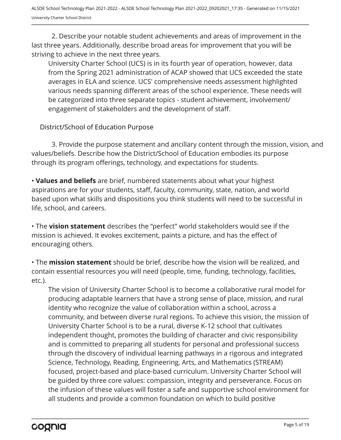2. Describe your notable student achievements and areas of improvement in the last three years. Additionally, describe broad areas for improvement that you will be striving to achieve in the next three years.

University Charter School (UCS) is in its fourth year of operation, however, data from the Spring 2021 administration of ACAP showed that UCS exceeded the state averages in ELA and science. UCS' comprehensive needs assessment highlighted various needs spanning different areas of the school experience. These needs will be categorized into three separate topics - student achievement, involvement/ engagement of stakeholders and the development of staff.

### District/School of Education Purpose

3. Provide the purpose statement and ancillary content through the mission, vision, and values/beliefs. Describe how the District/School of Education embodies its purpose through its program offerings, technology, and expectations for students.

• **Values and beliefs** are brief, numbered statements about what your highest aspirations are for your students, staff, faculty, community, state, nation, and world based upon what skills and dispositions you think students will need to be successful in life, school, and careers.

• The **vision statement** describes the "perfect" world stakeholders would see if the mission is achieved. It evokes excitement, paints a picture, and has the effect of encouraging others.

• The **mission statement** should be brief, describe how the vision will be realized, and contain essential resources you will need (people, time, funding, technology, facilities, etc.).

The vision of University Charter School is to become a collaborative rural model for producing adaptable learners that have a strong sense of place, mission, and rural identity who recognize the value of collaboration within a school, across a community, and between diverse rural regions. To achieve this vision, the mission of University Charter School is to be a rural, diverse K-12 school that cultivates independent thought, promotes the building of character and civic responsibility and is committed to preparing all students for personal and professional success through the discovery of individual learning pathways in a rigorous and integrated Science, Technology, Reading, Engineering, Arts, and Mathematics (STREAM) focused, project-based and place-based curriculum. University Charter School will be guided by three core values: compassion, integrity and perseverance. Focus on the infusion of these values will foster a safe and supportive school environment for all students and provide a common foundation on which to build positive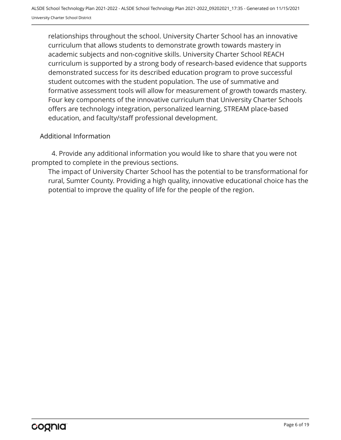relationships throughout the school. University Charter School has an innovative curriculum that allows students to demonstrate growth towards mastery in academic subjects and non-cognitive skills. University Charter School REACH curriculum is supported by a strong body of research-based evidence that supports demonstrated success for its described education program to prove successful student outcomes with the student population. The use of summative and formative assessment tools will allow for measurement of growth towards mastery. Four key components of the innovative curriculum that University Charter Schools offers are technology integration, personalized learning, STREAM place-based education, and faculty/staff professional development.

### Additional Information

4. Provide any additional information you would like to share that you were not prompted to complete in the previous sections.

The impact of University Charter School has the potential to be transformational for rural, Sumter County. Providing a high quality, innovative educational choice has the potential to improve the quality of life for the people of the region.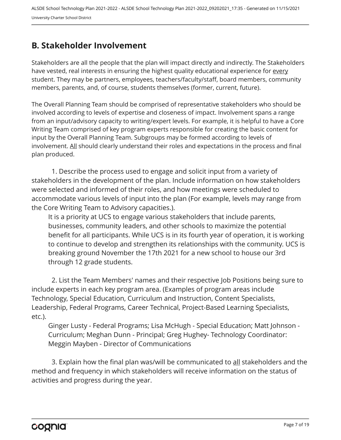## <span id="page-6-0"></span>**B. Stakeholder Involvement**

Stakeholders are all the people that the plan will impact directly and indirectly. The Stakeholders have vested, real interests in ensuring the highest quality educational experience for every student. They may be partners, employees, teachers/faculty/staff, board members, community members, parents, and, of course, students themselves (former, current, future).

The Overall Planning Team should be comprised of representative stakeholders who should be involved according to levels of expertise and closeness of impact. Involvement spans a range from an input/advisory capacity to writing/expert levels. For example, it is helpful to have a Core Writing Team comprised of key program experts responsible for creating the basic content for input by the Overall Planning Team. Subgroups may be formed according to levels of involvement. All should clearly understand their roles and expectations in the process and final plan produced.

1. Describe the process used to engage and solicit input from a variety of stakeholders in the development of the plan. Include information on how stakeholders were selected and informed of their roles, and how meetings were scheduled to accommodate various levels of input into the plan (For example, levels may range from the Core Writing Team to Advisory capacities.).

It is a priority at UCS to engage various stakeholders that include parents, businesses, community leaders, and other schools to maximize the potential benefit for all participants. While UCS is in its fourth year of operation, it is working to continue to develop and strengthen its relationships with the community. UCS is breaking ground November the 17th 2021 for a new school to house our 3rd through 12 grade students.

2. List the Team Members' names and their respective Job Positions being sure to include experts in each key program area. (Examples of program areas include Technology, Special Education, Curriculum and Instruction, Content Specialists, Leadership, Federal Programs, Career Technical, Project-Based Learning Specialists, etc.).

Ginger Lusty - Federal Programs; Lisa McHugh - Special Education; Matt Johnson - Curriculum; Meghan Dunn - Principal; Greg Hughey- Technology Coordinator: Meggin Mayben - Director of Communications

3. Explain how the final plan was/will be communicated to <u>all</u> stakeholders and the method and frequency in which stakeholders will receive information on the status of activities and progress during the year.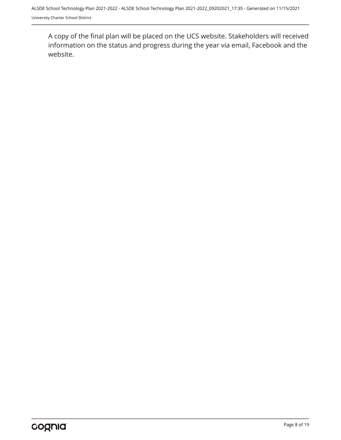A copy of the final plan will be placed on the UCS website. Stakeholders will received information on the status and progress during the year via email, Facebook and the website.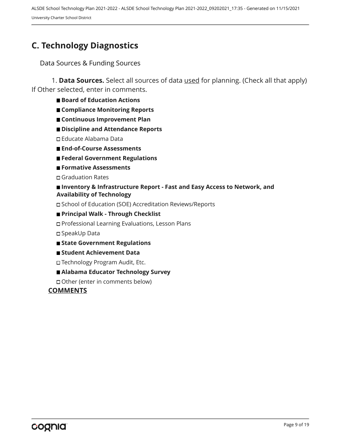# <span id="page-8-0"></span>**C. Technology Diagnostics**

Data Sources & Funding Sources

1. **Data Sources.** Select all sources of data used for planning. (Check all that apply) If Other selected, enter in comments.

- Board of Education Actions
- **Compliance Monitoring Reports**
- **Continuous Improvement Plan**
- **Discipline and Attendance Reports**
- Educate Alabama Data
- **End-of-Course Assessments**
- **Federal Government Regulations**
- **Formative Assessments**

Graduation Rates

#### ■ Inventory & Infrastructure Report - Fast and Easy Access to Network, and **Availability of Technology**

School of Education (SOE) Accreditation Reviews/Reports

#### **Principal Walk - Through Checklist**

Professional Learning Evaluations, Lesson Plans

SpeakUp Data

- **State Government Regulations**
- **Student Achievement Data**
- □ Technology Program Audit, Etc.

#### **Alabama Educator Technology Survey**

Other (enter in comments below)

#### **COMMENTS**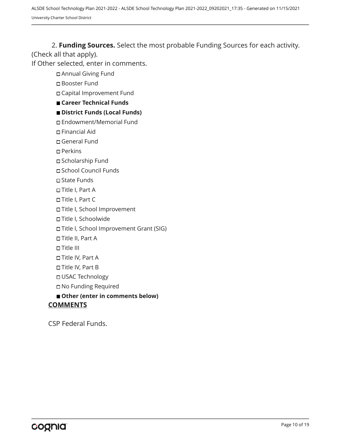ALSDE School Technology Plan 2021-2022 - ALSDE School Technology Plan 2021-2022\_09202021\_17:35 - Generated on 11/15/2021 University Charter School District

2. **Funding Sources.** Select the most probable Funding Sources for each activity. (Check all that apply).

If Other selected, enter in comments.

Annual Giving Fund

Booster Fund

Capital Improvement Fund

#### **Career Technical Funds**

#### **District Funds (Local Funds)**

Endowment/Memorial Fund

- Financial Aid
- General Fund
- Perkins
- Scholarship Fund
- School Council Funds
- State Funds
- Title I, Part A
- Title I, Part C
- Title I, School Improvement
- Title I, Schoolwide
- Title I, School Improvement Grant (SIG)
- Title II, Part A
- Title III
- Title IV, Part A
- Title IV, Part B
- USAC Technology
- No Funding Required
- **Other (enter in comments below)**

#### **COMMENTS**

CSP Federal Funds.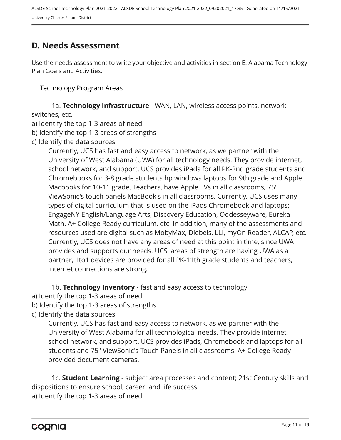## <span id="page-10-0"></span>**D. Needs Assessment**

Use the needs assessment to write your objective and activities in section E. Alabama Technology Plan Goals and Activities.

Technology Program Areas

1a. **Technology Infrastructure** - WAN, LAN, wireless access points, network switches, etc.

a) Identify the top 1-3 areas of need

b) Identify the top 1-3 areas of strengths

c) Identify the data sources

Currently, UCS has fast and easy access to network, as we partner with the University of West Alabama (UWA) for all technology needs. They provide internet, school network, and support. UCS provides iPads for all PK-2nd grade students and Chromebooks for 3-8 grade students hp windows laptops for 9th grade and Apple Macbooks for 10-11 grade. Teachers, have Apple TVs in all classrooms, 75" ViewSonic's touch panels MacBook's in all classrooms. Currently, UCS uses many types of digital curriculum that is used on the iPads Chromebook and laptops; EngageNY English/Language Arts, Discovery Education, Oddesseyware, Eureka Math, A+ College Ready curriculum, etc. In addition, many of the assessments and resources used are digital such as MobyMax, Diebels, LLI, myOn Reader, ALCAP, etc. Currently, UCS does not have any areas of need at this point in time, since UWA provides and supports our needs. UCS' areas of strength are having UWA as a partner, 1to1 devices are provided for all PK-11th grade students and teachers, internet connections are strong.

1b. **Technology Inventory** - fast and easy access to technology

- a) Identify the top 1-3 areas of need
- b) Identify the top 1-3 areas of strengths
- c) Identify the data sources

Currently, UCS has fast and easy access to network, as we partner with the University of West Alabama for all technological needs. They provide internet, school network, and support. UCS provides iPads, Chromebook and laptops for all students and 75" ViewSonic's Touch Panels in all classrooms. A+ College Ready provided document cameras.

1c. **Student Learning** - subject area processes and content; 21st Century skills and dispositions to ensure school, career, and life success a) Identify the top 1-3 areas of need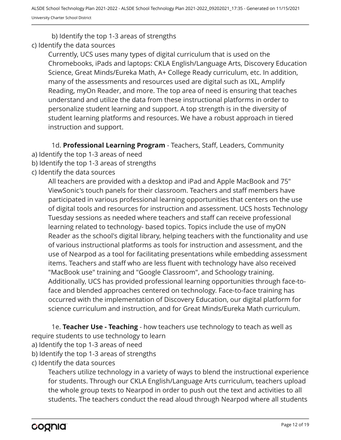b) Identify the top 1-3 areas of strengths

c) Identify the data sources

Currently, UCS uses many types of digital curriculum that is used on the Chromebooks, iPads and laptops: CKLA English/Language Arts, Discovery Education Science, Great Minds/Eureka Math, A+ College Ready curriculum, etc. In addition, many of the assessments and resources used are digital such as IXL, Amplify Reading, myOn Reader, and more. The top area of need is ensuring that teaches understand and utilize the data from these instructional platforms in order to personalize student learning and support. A top strength is in the diversity of student learning platforms and resources. We have a robust approach in tiered instruction and support.

1d. **Professional Learning Program** - Teachers, Staff, Leaders, Community

- a) Identify the top 1-3 areas of need
- b) Identify the top 1-3 areas of strengths
- c) Identify the data sources

All teachers are provided with a desktop and iPad and Apple MacBook and 75" ViewSonic's touch panels for their classroom. Teachers and staff members have participated in various professional learning opportunities that centers on the use of digital tools and resources for instruction and assessment. UCS hosts Technology Tuesday sessions as needed where teachers and staff can receive professional learning related to technology- based topics. Topics include the use of myON Reader as the school's digital library, helping teachers with the functionality and use of various instructional platforms as tools for instruction and assessment, and the use of Nearpod as a tool for facilitating presentations while embedding assessment items. Teachers and staff who are less fluent with technology have also received "MacBook use" training and "Google Classroom", and Schoology training. Additionally, UCS has provided professional learning opportunities through face-toface and blended approaches centered on technology. Face-to-face training has occurred with the implementation of Discovery Education, our digital platform for science curriculum and instruction, and for Great Minds/Eureka Math curriculum.

1e. **Teacher Use - Teaching** - how teachers use technology to teach as well as require students to use technology to learn

- a) Identify the top 1-3 areas of need
- b) Identify the top 1-3 areas of strengths
- c) Identify the data sources

Teachers utilize technology in a variety of ways to blend the instructional experience for students. Through our CKLA English/Language Arts curriculum, teachers upload the whole group texts to Nearpod in order to push out the text and activities to all students. The teachers conduct the read aloud through Nearpod where all students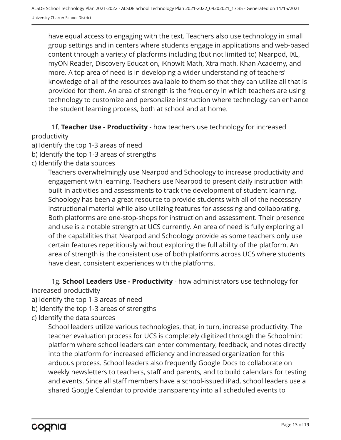have equal access to engaging with the text. Teachers also use technology in small group settings and in centers where students engage in applications and web-based content through a variety of platforms including (but not limited to) Nearpod, IXL, myON Reader, Discovery Education, iKnowIt Math, Xtra math, Khan Academy, and more. A top area of need is in developing a wider understanding of teachers' knowledge of all of the resources available to them so that they can utilize all that is provided for them. An area of strength is the frequency in which teachers are using technology to customize and personalize instruction where technology can enhance the student learning process, both at school and at home.

1f. **Teacher Use - Productivity** - how teachers use technology for increased productivity

- a) Identify the top 1-3 areas of need
- b) Identify the top 1-3 areas of strengths
- c) Identify the data sources

Teachers overwhelmingly use Nearpod and Schoology to increase productivity and engagement with learning. Teachers use Nearpod to present daily instruction with built-in activities and assessments to track the development of student learning. Schoology has been a great resource to provide students with all of the necessary instructional material while also utilizing features for assessing and collaborating. Both platforms are one-stop-shops for instruction and assessment. Their presence and use is a notable strength at UCS currently. An area of need is fully exploring all of the capabilities that Nearpod and Schoology provide as some teachers only use certain features repetitiously without exploring the full ability of the platform. An area of strength is the consistent use of both platforms across UCS where students have clear, consistent experiences with the platforms.

1g. **School Leaders Use - Productivity** - how administrators use technology for increased productivity

- a) Identify the top 1-3 areas of need
- b) Identify the top 1-3 areas of strengths
- c) Identify the data sources

School leaders utilize various technologies, that, in turn, increase productivity. The teacher evaluation process for UCS is completely digitized through the Schoolmint platform where school leaders can enter commentary, feedback, and notes directly into the platform for increased efficiency and increased organization for this arduous process. School leaders also frequently Google Docs to collaborate on weekly newsletters to teachers, staff and parents, and to build calendars for testing and events. Since all staff members have a school-issued iPad, school leaders use a shared Google Calendar to provide transparency into all scheduled events to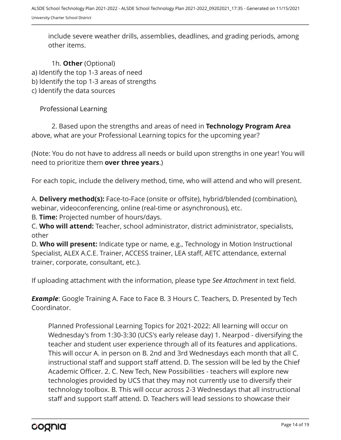include severe weather drills, assemblies, deadlines, and grading periods, among other items.

1h. **Other** (Optional) a) Identify the top 1-3 areas of need b) Identify the top 1-3 areas of strengths c) Identify the data sources

Professional Learning

2. Based upon the strengths and areas of need in **Technology Program Area** above, what are your Professional Learning topics for the upcoming year?

(Note: You do not have to address all needs or build upon strengths in one year! You will need to prioritize them **over three years**.)

For each topic, include the delivery method, time, who will attend and who will present.

A. **Delivery method(s):** Face-to-Face (onsite or offsite), hybrid/blended (combination), webinar, videoconferencing, online (real-time or asynchronous), etc.

B. **Time:** Projected number of hours/days.

C. **Who will attend:** Teacher, school administrator, district administrator, specialists, other

D. **Who will present:** Indicate type or name, e.g., Technology in Motion Instructional Specialist, ALEX A.C.E. Trainer, ACCESS trainer, LEA staff, AETC attendance, external trainer, corporate, consultant, etc.).

If uploading attachment with the information, please type *See Attachment* in text field.

**Example**: Google Training A. Face to Face B. 3 Hours C. Teachers, D. Presented by Tech Coordinator.

Planned Professional Learning Topics for 2021-2022: All learning will occur on Wednesday's from 1:30-3:30 (UCS's early release day) 1. Nearpod - diversifying the teacher and student user experience through all of its features and applications. This will occur A. in person on B. 2nd and 3rd Wednesdays each month that all C. instructional staff and support staff attend. D. The session will be led by the Chief Academic Officer. 2. C. New Tech, New Possibilities - teachers will explore new technologies provided by UCS that they may not currently use to diversify their technology toolbox. B. This will occur across 2-3 Wednesdays that all instructional staff and support staff attend. D. Teachers will lead sessions to showcase their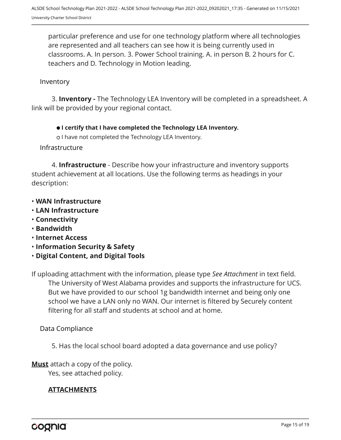particular preference and use for one technology platform where all technologies are represented and all teachers can see how it is being currently used in classrooms. A. In person. 3. Power School training. A. in person B. 2 hours for C. teachers and D. Technology in Motion leading.

### Inventory

3. **Inventory -** The Technology LEA Inventory will be completed in a spreadsheet. A link will be provided by your regional contact.

#### **I certify that I have completed the Technology LEA Inventory.**

o I have not completed the Technology LEA Inventory.

#### Infrastructure

4. **Infrastructure** - Describe how your infrastructure and inventory supports student achievement at all locations. Use the following terms as headings in your description:

- **WAN Infrastructure**
- **LAN Infrastructure**
- **Connectivity**
- **Bandwidth**
- **Internet Access**
- **Information Security & Safety**
- **Digital Content, and Digital Tools**

The University of West Alabama provides and supports the infrastructure for UCS. But we have provided to our school 1g bandwidth internet and being only one school we have a LAN only no WAN. Our internet is filtered by Securely content filtering for all staff and students at school and at home. If uploading attachment with the information, please type *See Attachment* in text field.

Data Compliance

5. Has the local school board adopted a data governance and use policy?

**Must** attach a copy of the policy.

Yes, see attached policy.

#### **ATTACHMENTS**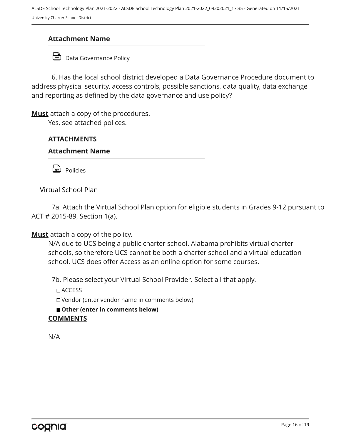ALSDE School Technology Plan 2021-2022 - ALSDE School Technology Plan 2021-2022\_09202021\_17:35 - Generated on 11/15/2021 University Charter School District

### **Attachment Name**

<del>D</del> Data Governance Policy

6. Has the local school district developed a Data Governance Procedure document to address physical security, access controls, possible sanctions, data quality, data exchange and reporting as defined by the data governance and use policy?

**Must** attach a copy of the procedures.

Yes, see attached polices.

### **ATTACHMENTS**

#### **Attachment Name**

**Policies** 

Virtual School Plan

7a. Attach the Virtual School Plan option for eligible students in Grades 9-12 pursuant to ACT # 2015-89, Section 1(a).

**Must** attach a copy of the policy.

N/A due to UCS being a public charter school. Alabama prohibits virtual charter schools, so therefore UCS cannot be both a charter school and a virtual education school. UCS does offer Access as an online option for some courses.

7b. Please select your Virtual School Provider. Select all that apply.

ACCESS

Vendor (enter vendor name in comments below)

■ Other (enter in comments below)

#### **COMMENTS**

N/A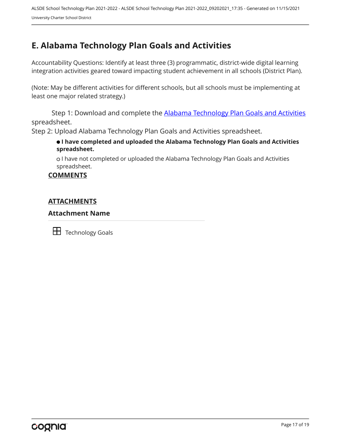# <span id="page-16-0"></span>**E. Alabama Technology Plan Goals and Activities**

Accountability Questions: Identify at least three (3) programmatic, district-wide digital learning integration activities geared toward impacting student achievement in all schools (District Plan).

(Note: May be different activities for different schools, but all schools must be implementing at least one major related strategy.)

Step 1: Download and complete the **[Alabama Technology Plan Goals and Activities](https://www.alsde.edu/sec/et/Tech%20Coordinator%20Resources/2020-2021%20Alabama%20Technology%20Plan%20Goals%20and%20Activities.xlsx)** spreadsheet.

Step 2: Upload Alabama Technology Plan Goals and Activities spreadsheet.

 **I have completed and uploaded the Alabama Technology Plan Goals and Activities spreadsheet.**

 I have not completed or uploaded the Alabama Technology Plan Goals and Activities spreadsheet.

#### **COMMENTS**

#### **ATTACHMENTS**

#### **Attachment Name**

**TH** Technology Goals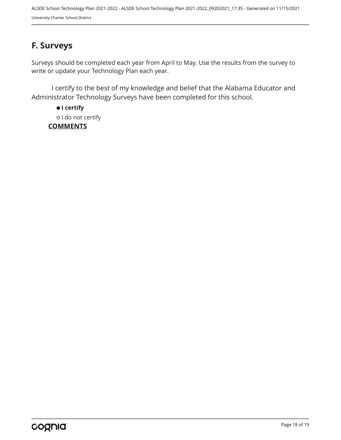# <span id="page-17-0"></span>**F. Surveys**

Surveys should be completed each year from April to May. Use the results from the survey to write or update your Technology Plan each year.

I certify to the best of my knowledge and belief that the Alabama Educator and Administrator Technology Surveys have been completed for this school.

 **I certify** o I do not certify **COMMENTS**